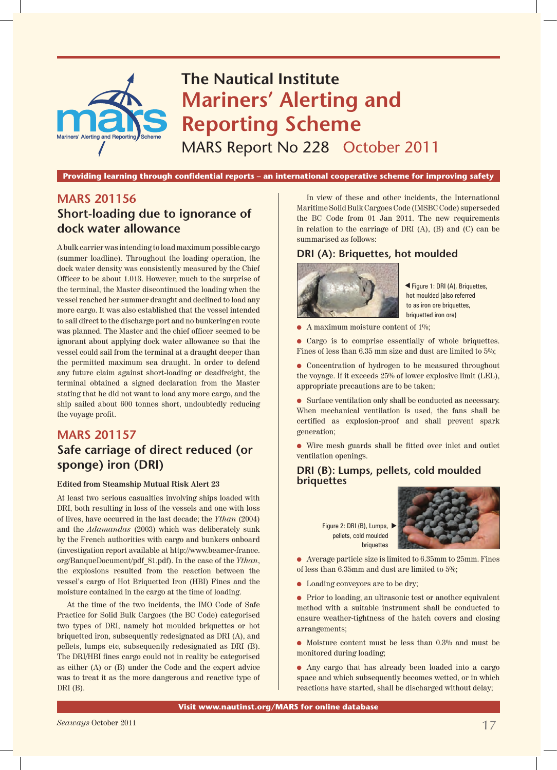

**Providing learning through confidential reports – an international cooperative scheme for improving safety**

# **MARS 201156 Short-loading due to ignorance of dock water allowance**

A bulk carrier was intending to load maximum possible cargo (summer loadline). Throughout the loading operation, the dock water density was consistently measured by the Chief Officer to be about 1.013. However, much to the surprise of the terminal, the Master discontinued the loading when the vessel reached her summer draught and declined to load any more cargo. It was also established that the vessel intended to sail direct to the discharge port and no bunkering en route was planned. The Master and the chief officer seemed to be ignorant about applying dock water allowance so that the vessel could sail from the terminal at a draught deeper than the permitted maximum sea draught. In order to defend any future claim against short-loading or deadfreight, the terminal obtained a signed declaration from the Master stating that he did not want to load any more cargo, and the ship sailed about 600 tonnes short, undoubtedly reducing the voyage profit.

## **MARS 201157 Safe carriage of direct reduced (or sponge) iron (DRI)**

#### **Edited from Steamship Mutual Risk Alert 23**

At least two serious casualties involving ships loaded with DRI, both resulting in loss of the vessels and one with loss of lives, have occurred in the last decade; the *Ythan* (2004) and the *Adamandas* (2003) which was deliberately sunk by the French authorities with cargo and bunkers onboard (investigation report available at http://www.beamer-france. org/BanqueDocument/pdf\_81.pdf). In the case of the *Ythan*, the explosions resulted from the reaction between the vessel's cargo of Hot Briquetted Iron (HBI) Fines and the moisture contained in the cargo at the time of loading.

At the time of the two incidents, the IMO Code of Safe Practice for Solid Bulk Cargoes (the BC Code) categorised two types of DRI, namely hot moulded briquettes or hot briquetted iron, subsequently redesignated as DRI (A), and pellets, lumps etc, subsequently redesignated as DRI (B). The DRI/HBI fines cargo could not in reality be categorised as either (A) or (B) under the Code and the expert advice was to treat it as the more dangerous and reactive type of DRI (B).

In view of these and other incidents, the International Maritime Solid Bulk Cargoes Code (IMSBC Code) superseded the BC Code from 01 Jan 2011. The new requirements in relation to the carriage of DRI (A), (B) and (C) can be summarised as follows:

#### **DRI (A): Briquettes, hot moulded**



 Figure 1: DRI (A), Briquettes, s hot moulded (also referred to as iron ore briquettes. briquetted iron ore)

A maximum moisture content of 1%;

• Cargo is to comprise essentially of whole briquettes. Fines of less than 6.35 mm size and dust are limited to 5%;

• Concentration of hydrogen to be measured throughout the voyage. If it exceeds 25% of lower explosive limit (LEL), appropriate precautions are to be taken;

 $\bullet$  Surface ventilation only shall be conducted as necessary. When mechanical ventilation is used, the fans shall be certified as explosion-proof and shall prevent spark generation;

l Wire mesh guards shall be fitted over inlet and outlet ventilation openings.

#### **DRI (B): Lumps, pellets, cold moulded briquettes**

Figure 2: DRI (B), Lumps, ▶ pellets, cold moulded briquettes



 $\bullet$  Average particle size is limited to 6.35mm to 25mm. Fines of less than 6.35mm and dust are limited to 5%;

• Loading conveyors are to be dry;

**•** Prior to loading, an ultrasonic test or another equivalent method with a suitable instrument shall be conducted to ensure weather-tightness of the hatch covers and closing arrangements;

 $\bullet$  Moisture content must be less than 0.3% and must be monitored during loading;

l Any cargo that has already been loaded into a cargo space and which subsequently becomes wetted, or in which reactions have started, shall be discharged without delay;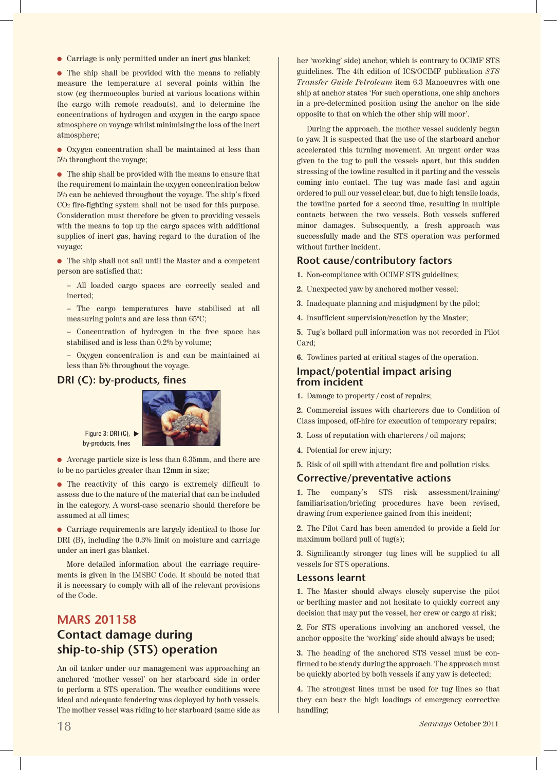l Carriage is only permitted under an inert gas blanket;

• The ship shall be provided with the means to reliably measure the temperature at several points within the stow (eg thermocouples buried at various locations within the cargo with remote readouts), and to determine the concentrations of hydrogen and oxygen in the cargo space atmosphere on voyage whilst minimising the loss of the inert atmosphere;

• Oxygen concentration shall be maintained at less than 5% throughout the voyage;

 $\bullet~$  The ship shall be provided with the means to ensure that the requirement to maintain the oxygen concentration below 5% can be achieved throughout the voyage. The ship's fixed CO2 fire-fighting system shall not be used for this purpose. Consideration must therefore be given to providing vessels with the means to top up the cargo spaces with additional supplies of inert gas, having regard to the duration of the voyage;

 $\bullet~$  The ship shall not sail until the Master and a competent person are satisfied that:

– All loaded cargo spaces are correctly sealed and inerted;

– The cargo temperatures have stabilised at all measuring points and are less than 65°C;

– Concentration of hydrogen in the free space has stabilised and is less than 0.2% by volume;

– Oxygen concentration is and can be maintained at less than 5% throughout the voyage.

## **DRI (C): by-products, fines**



by-products, fines  $\bullet$  Average particle size is less than 6.35mm, and there are

to be no particles greater than 12mm in size;

• The reactivity of this cargo is extremely difficult to assess due to the nature of the material that can be included in the category. A worst-case scenario should therefore be assumed at all times;

l Carriage requirements are largely identical to those for DRI (B), including the 0.3% limit on moisture and carriage under an inert gas blanket.

More detailed information about the carriage requirements is given in the IMSBC Code. It should be noted that it is necessary to comply with all of the relevant provisions of the Code.

## **MARS 201158 Contact damage during ship-to-ship (STS) operation**

An oil tanker under our management was approaching an anchored 'mother vessel' on her starboard side in order to perform a STS operation. The weather conditions were ideal and adequate fendering was deployed by both vessels. The mother vessel was riding to her starboard (same side as her 'working' side) anchor, which is contrary to OCIMF STS guidelines. The 4th edition of ICS/OCIMF publication *STS Transfer Guide Petroleum* item 6.3 Manoeuvres with one ship at anchor states 'For such operations, one ship anchors in a pre-determined position using the anchor on the side opposite to that on which the other ship will moor'.

During the approach, the mother vessel suddenly began to yaw. It is suspected that the use of the starboard anchor accelerated this turning movement. An urgent order was given to the tug to pull the vessels apart, but this sudden stressing of the towline resulted in it parting and the vessels coming into contact. The tug was made fast and again ordered to pull our vessel clear, but, due to high tensile loads, the towline parted for a second time, resulting in multiple contacts between the two vessels. Both vessels suffered minor damages. Subsequently, a fresh approach was successfully made and the STS operation was performed without further incident.

#### **Root cause/contributory factors**

- **1.** Non-compliance with OCIMF STS guidelines;
- **2.** Unexpected yaw by anchored mother vessel;
- **3.** Inadequate planning and misjudgment by the pilot;
- **4.** Insufficient supervision/reaction by the Master;

**5.** Tug's bollard pull information was not recorded in Pilot Card;

**6.** Towlines parted at critical stages of the operation.

#### **Impact/potential impact arising from incident**

**1.** Damage to property / cost of repairs;

**2.** Commercial issues with charterers due to Condition of Class imposed, off-hire for execution of temporary repairs;

- **3.** Loss of reputation with charterers / oil majors;
- **4.** Potential for crew injury;
- **5.** Risk of oil spill with attendant fire and pollution risks.

#### **Corrective/preventative actions**

**1.** The company's STS risk assessment/training/ familiarisation/briefing procedures have been revised, drawing from experience gained from this incident;

**2.** The Pilot Card has been amended to provide a field for maximum bollard pull of tug(s);

**3.** Significantly stronger tug lines will be supplied to all vessels for STS operations.

#### **Lessons learnt**

**1.** The Master should always closely supervise the pilot or berthing master and not hesitate to quickly correct any decision that may put the vessel, her crew or cargo at risk;

**2.** For STS operations involving an anchored vessel, the anchor opposite the 'working' side should always be used;

**3.** The heading of the anchored STS vessel must be confirmed to be steady during the approach. The approach must be quickly aborted by both vessels if any yaw is detected;

**4.** The strongest lines must be used for tug lines so that they can bear the high loadings of emergency corrective handling;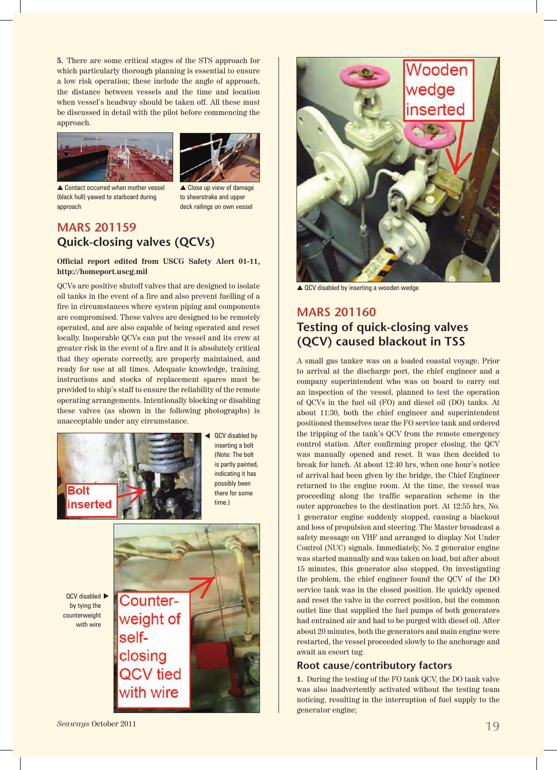**5.** There are some critical stages of the STS approach for which particularly thorough planning is essential to ensure a low risk operation; these include the angle of approach, the distance between vessels and the time and location when vessel's headway should be taken off. All these must be discussed in detail with the pilot before commencing the approach.





 $\triangle$  Contact occurred when mother vessel (black hull) yawed to starboard during approach

 $\triangle$  Close up view of damage to sheerstrake and upper deck railings on own vessel

## **MARS 201159 Quick-closing valves (QCVs)**

**Official report edited from USCG Safety Alert 01-11, http://homeport.uscg.mil**

QCVs are positive shutoff valves that are designed to isolate oil tanks in the event of a fire and also prevent fuelling of a fire in circumstances where system piping and components are compromised. These valves are designed to be remotely operated, and are also capable of being operated and reset locally. Inoperable QCVs can put the vessel and its crew at greater risk in the event of a fire and it is absolutely critical that they operate correctly, are properly maintained, and ready for use at all times. Adequate knowledge, training, instructions and stocks of replacement spares must be provided to ship's staff to ensure the reliability of the remote operating arrangements. Intentionally blocking or disabling these valves (as shown in the following photographs) is unacceptable under any circumstance.



QCV disabled by inserting a bolt (Note: The bolt is partly painted, indicating it has possibly been there for some time.)





 $\triangle$  QCV disabled by inserting a wooden wedge

## **MARS 201160 Testing of quick-closing valves (QCV) caused blackout in TSS**

A small gas tanker was on a loaded coastal voyage. Prior to arrival at the discharge port, the chief engineer and a company superintendent who was on board to carry out an inspection of the vessel, planned to test the operation of QCVs in the fuel oil (FO) and diesel oil (DO) tanks. At about 11:30, both the chief engineer and superintendent positioned themselves near the FO service tank and ordered the tripping of the tank's QCV from the remote emergency control station. After confirming proper closing, the QCV was manually opened and reset. It was then decided to break for lunch. At about 12:40 hrs, when one hour's notice of arrival had been given by the bridge, the Chief Engineer returned to the engine room. At the time, the vessel was proceeding along the traffic separation scheme in the outer approaches to the destination port. At 12:55 hrs, No. 1 generator engine suddenly stopped, causing a blackout and loss of propulsion and steering. The Master broadcast a safety message on VHF and arranged to display Not Under Control (NUC) signals. Immediately, No. 2 generator engine was started manually and was taken on load, but after about 15 minutes, this generator also stopped. On investigating the problem, the chief engineer found the QCV of the DO service tank was in the closed position. He quickly opened and reset the valve in the correct position, but the common outlet line that supplied the fuel pumps of both generators had entrained air and had to be purged with diesel oil. After about 20 minutes, both the generators and main engine were restarted, the vessel proceeded slowly to the anchorage and await an escort tug.

## **Root cause/contributory factors**

**1.** During the testing of the FO tank QCV, the DO tank valve was also inadvertently activated without the testing team noticing, resulting in the interruption of fuel supply to the generator engine;